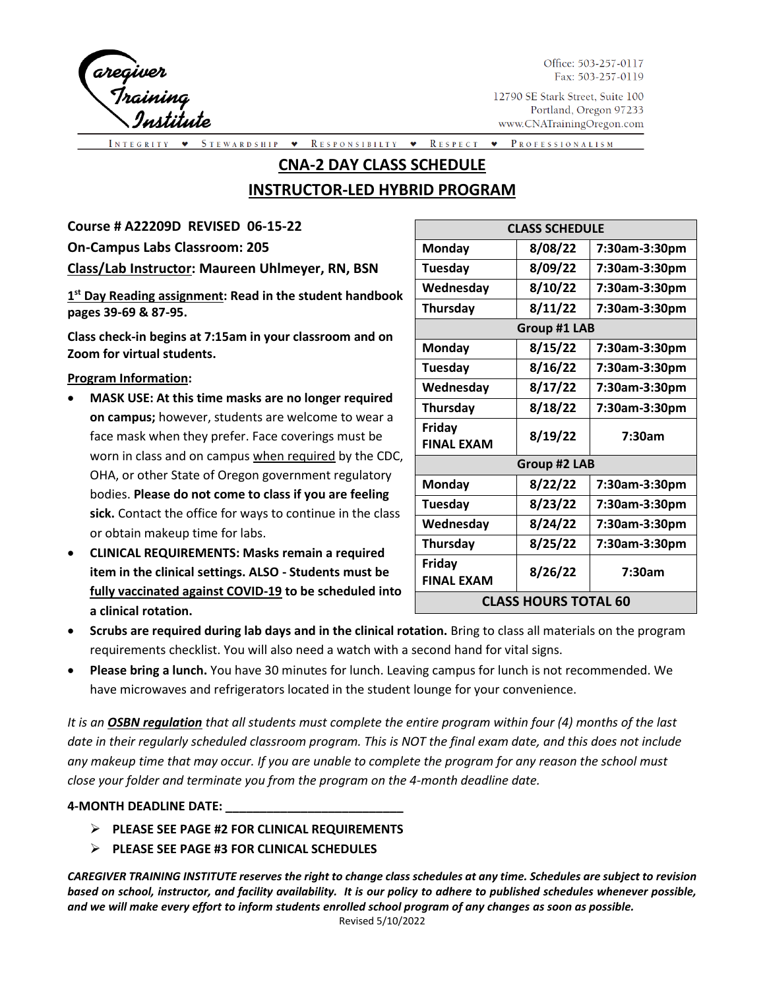

Office: 503-257-0117 Fax: 503-257-0119

12790 SE Stark Street, Suite 100 Portland, Oregon 97233 www.CNATrainingOregon.com

STEWARDSHIP RESPONSIBILTY  $\bullet$  RESPECT PROFESSIONALISM  $\blacktriangledown$  $\bullet$ 

# **CNA-2 DAY CLASS SCHEDULE**

# **INSTRUCTOR-LED HYBRID PROGRAM**

**Course # A22209D REVISED 06-15-22**

**On-Campus Labs Classroom: 205** 

**Class/Lab Instructor: Maureen Uhlmeyer, RN, BSN** 

**1 st Day Reading assignment: Read in the student handbook pages 39-69 & 87-95.**

**Class check-in begins at 7:15am in your classroom and on Zoom for virtual students.**

#### **Program Information:**

- **MASK USE: At this time masks are no longer required on campus;** however, students are welcome to wear a face mask when they prefer. Face coverings must be worn in class and on campus when required by the CDC, OHA, or other State of Oregon government regulatory bodies. **Please do not come to class if you are feeling sick.** Contact the office for ways to continue in the class or obtain makeup time for labs.
- **CLINICAL REQUIREMENTS: Masks remain a required item in the clinical settings. ALSO - Students must be fully vaccinated against COVID-19 to be scheduled into a clinical rotation.**

| <b>CLASS SCHEDULE</b>       |         |               |  |  |  |  |
|-----------------------------|---------|---------------|--|--|--|--|
| <b>Monday</b>               | 8/08/22 | 7:30am-3:30pm |  |  |  |  |
| Tuesday                     | 8/09/22 | 7:30am-3:30pm |  |  |  |  |
| Wednesday                   | 8/10/22 | 7:30am-3:30pm |  |  |  |  |
| <b>Thursday</b>             | 8/11/22 | 7:30am-3:30pm |  |  |  |  |
| <b>Group #1 LAB</b>         |         |               |  |  |  |  |
| Monday                      | 8/15/22 | 7:30am-3:30pm |  |  |  |  |
| <b>Tuesday</b>              | 8/16/22 | 7:30am-3:30pm |  |  |  |  |
| Wednesday                   | 8/17/22 | 7:30am-3:30pm |  |  |  |  |
| <b>Thursday</b>             | 8/18/22 | 7:30am-3:30pm |  |  |  |  |
| Friday<br><b>FINAL EXAM</b> | 8/19/22 | 7:30am        |  |  |  |  |
| Group #2 LAB                |         |               |  |  |  |  |
| Monday                      | 8/22/22 | 7:30am-3:30pm |  |  |  |  |
| Tuesday                     | 8/23/22 | 7:30am-3:30pm |  |  |  |  |
| Wednesday                   | 8/24/22 | 7:30am-3:30pm |  |  |  |  |
| Thursday                    | 8/25/22 | 7:30am-3:30pm |  |  |  |  |
| Friday<br><b>FINAL EXAM</b> | 8/26/22 | 7:30am        |  |  |  |  |
| <b>CLASS HOURS TOTAL 60</b> |         |               |  |  |  |  |

- **Scrubs are required during lab days and in the clinical rotation.** Bring to class all materials on the program requirements checklist. You will also need a watch with a second hand for vital signs.
- **Please bring a lunch.** You have 30 minutes for lunch. Leaving campus for lunch is not recommended. We have microwaves and refrigerators located in the student lounge for your convenience.

*It is an OSBN regulation that all students must complete the entire program within four (4) months of the last date in their regularly scheduled classroom program. This is NOT the final exam date, and this does not include any makeup time that may occur. If you are unable to complete the program for any reason the school must close your folder and terminate you from the program on the 4-month deadline date.*

#### **4-MONTH DEADLINE DATE: \_\_\_\_\_\_\_\_\_\_\_\_\_\_\_\_\_\_\_\_\_\_\_\_\_\_**

- ➢ **PLEASE SEE PAGE #2 FOR CLINICAL REQUIREMENTS**
- ➢ **PLEASE SEE PAGE #3 FOR CLINICAL SCHEDULES**

*CAREGIVER TRAINING INSTITUTE reserves the right to change class schedules at any time. Schedules are subject to revision based on school, instructor, and facility availability. It is our policy to adhere to published schedules whenever possible, and we will make every effort to inform students enrolled school program of any changes as soon as possible.*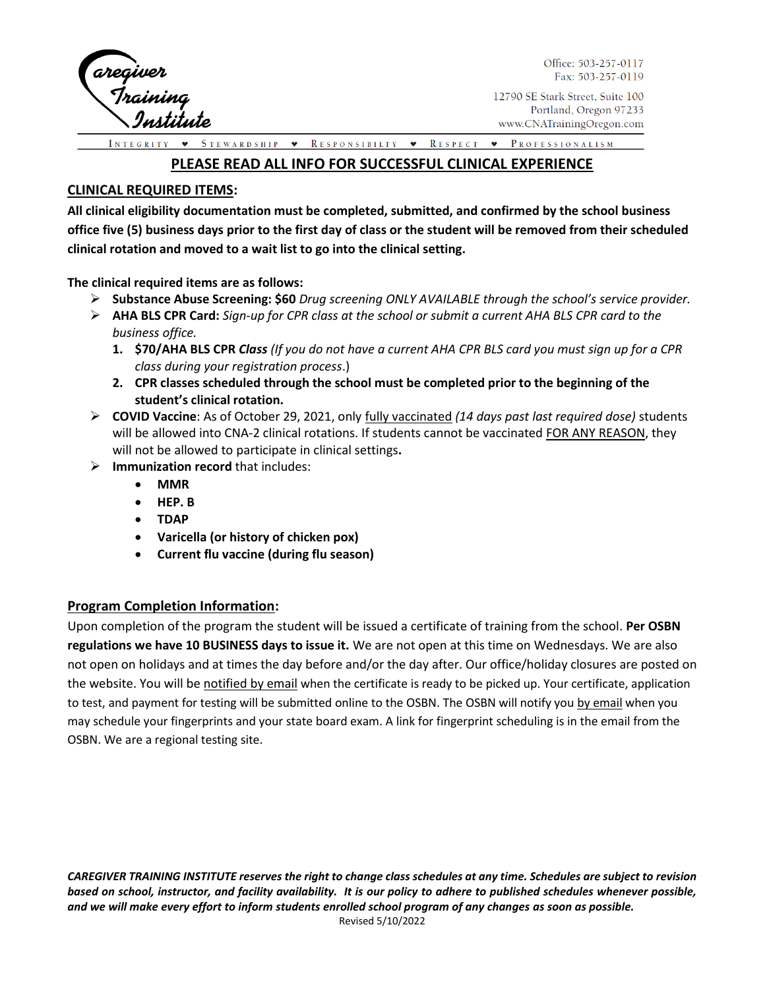

Office: 503-257-0117 Fax: 503-257-0119

12790 SE Stark Street, Suite 100 Portland, Oregon 97233 www.CNATrainingOregon.com

STEWARDSHIP • RESPONSIBILTY • RESPECT • PROFESSIONALISM

### **PLEASE READ ALL INFO FOR SUCCESSFUL CLINICAL EXPERIENCE**

#### **CLINICAL REQUIRED ITEMS:**

**All clinical eligibility documentation must be completed, submitted, and confirmed by the school business office five (5) business days prior to the first day of class or the student will be removed from their scheduled clinical rotation and moved to a wait list to go into the clinical setting.** 

**The clinical required items are as follows:** 

- ➢ **Substance Abuse Screening: \$60** *Drug screening ONLY AVAILABLE through the school's service provider.*
- ➢ **AHA BLS CPR Card:** *Sign-up for CPR class at the school or submit a current AHA BLS CPR card to the business office.* 
	- **1. \$70/AHA BLS CPR** *Class (If you do not have a current AHA CPR BLS card you must sign up for a CPR class during your registration process*.)
	- **2. CPR classes scheduled through the school must be completed prior to the beginning of the student's clinical rotation.**
- ➢ **COVID Vaccine**: As of October 29, 2021, only fully vaccinated *(14 days past last required dose)* students will be allowed into CNA-2 clinical rotations. If students cannot be vaccinated FOR ANY REASON, they will not be allowed to participate in clinical settings**.**
- ➢ **Immunization record** that includes:
	- **MMR**
	- **HEP. B**
	- **TDAP**
	- **Varicella (or history of chicken pox)**
	- **Current flu vaccine (during flu season)**

#### **Program Completion Information:**

Upon completion of the program the student will be issued a certificate of training from the school. **Per OSBN regulations we have 10 BUSINESS days to issue it.** We are not open at this time on Wednesdays. We are also not open on holidays and at times the day before and/or the day after. Our office/holiday closures are posted on the website. You will be notified by email when the certificate is ready to be picked up. Your certificate, application to test, and payment for testing will be submitted online to the OSBN. The OSBN will notify you by email when you may schedule your fingerprints and your state board exam. A link for fingerprint scheduling is in the email from the OSBN. We are a regional testing site.

*CAREGIVER TRAINING INSTITUTE reserves the right to change class schedules at any time. Schedules are subject to revision based on school, instructor, and facility availability. It is our policy to adhere to published schedules whenever possible, and we will make every effort to inform students enrolled school program of any changes as soon as possible.*  Revised 5/10/2022